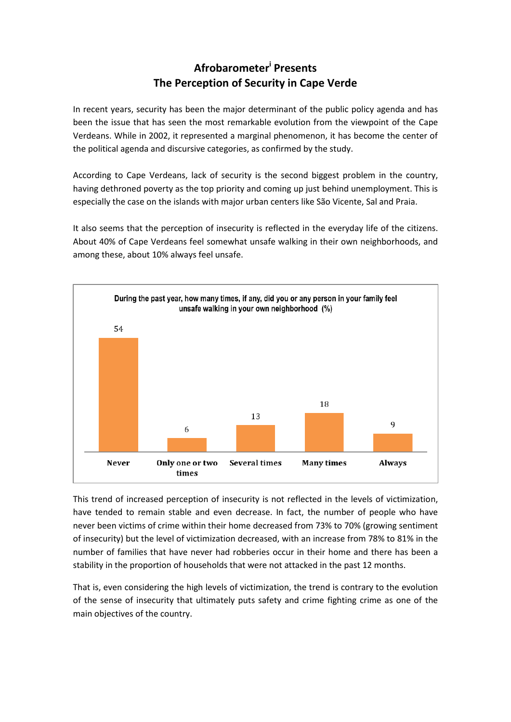## **Afrobarometer<sup>i</sup> Presents The Perception of Security in Cape Verde**

In recent years, security has been the major determinant of the public policy agenda and has been the issue that has seen the most remarkable evolution from the viewpoint of the Cape Verdeans. While in 2002, it represented a marginal phenomenon, it has become the center of the political agenda and discursive categories, as confirmed by the study.

According to Cape Verdeans, lack of security is the second biggest problem in the country, having dethroned poverty as the top priority and coming up just behind unemployment. This is especially the case on the islands with major urban centers like São Vicente, Sal and Praia.

It also seems that the perception of insecurity is reflected in the everyday life of the citizens. About 40% of Cape Verdeans feel somewhat unsafe walking in their own neighborhoods, and among these, about 10% always feel unsafe.



This trend of increased perception of insecurity is not reflected in the levels of victimization, have tended to remain stable and even decrease. In fact, the number of people who have never been victims of crime within their home decreased from 73% to 70% (growing sentiment of insecurity) but the level of victimization decreased, with an increase from 78% to 81% in the number of families that have never had robberies occur in their home and there has been a stability in the proportion of households that were not attacked in the past 12 months.

That is, even considering the high levels of victimization, the trend is contrary to the evolution of the sense of insecurity that ultimately puts safety and crime fighting crime as one of the main objectives of the country.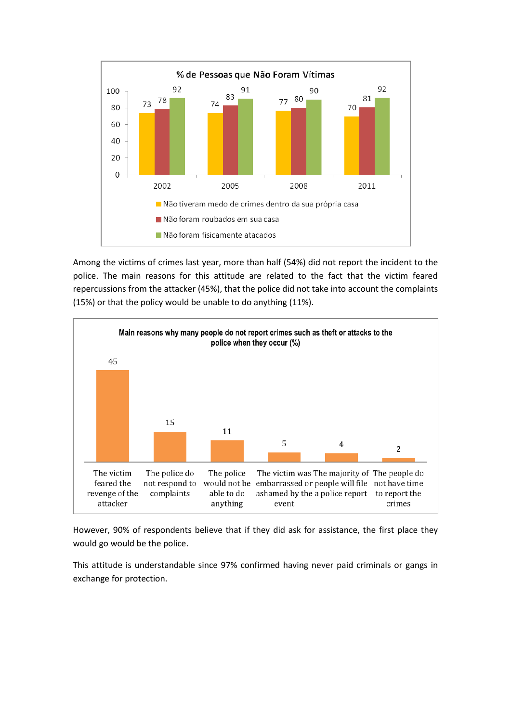

Among the victims of crimes last year, more than half (54%) did not report the incident to the police. The main reasons for this attitude are related to the fact that the victim feared repercussions from the attacker (45%), that the police did not take into account the complaints (15%) or that the policy would be unable to do anything (11%).



However, 90% of respondents believe that if they did ask for assistance, the first place they would go would be the police.

This attitude is understandable since 97% confirmed having never paid criminals or gangs in exchange for protection.